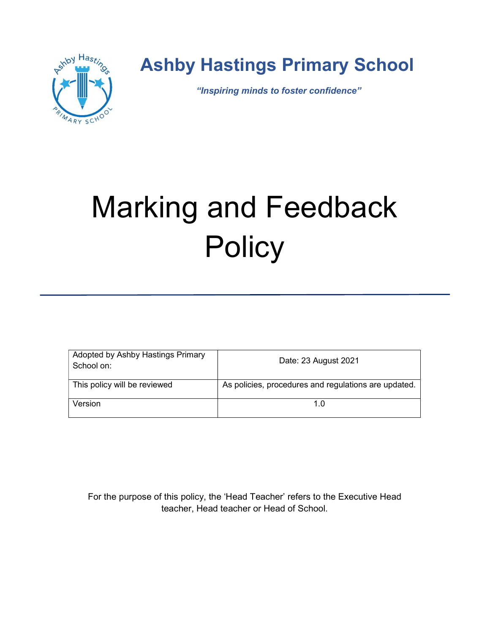

# Ashby Hastings Primary School

"Inspiring minds to foster confidence"

# Marking and Feedback **Policy**

| Adopted by Ashby Hastings Primary<br>School on: | Date: 23 August 2021                                 |
|-------------------------------------------------|------------------------------------------------------|
| This policy will be reviewed                    | As policies, procedures and regulations are updated. |
| Version                                         | 1.0                                                  |

For the purpose of this policy, the 'Head Teacher' refers to the Executive Head teacher, Head teacher or Head of School.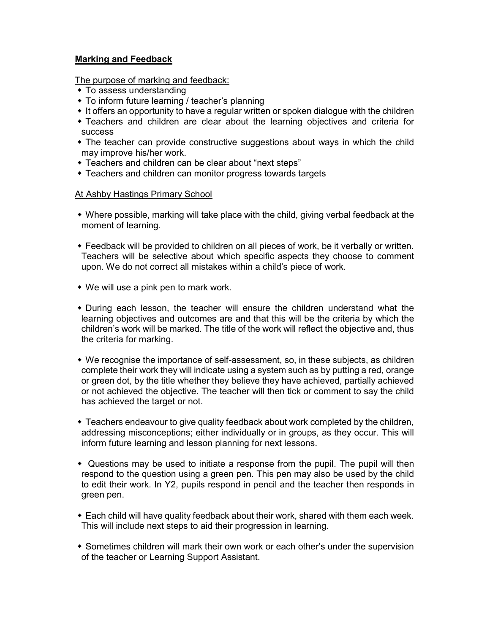## Marking and Feedback

The purpose of marking and feedback:

- To assess understanding
- To inform future learning / teacher's planning
- It offers an opportunity to have a regular written or spoken dialogue with the children
- Teachers and children are clear about the learning objectives and criteria for success
- The teacher can provide constructive suggestions about ways in which the child may improve his/her work.
- Teachers and children can be clear about "next steps"
- Teachers and children can monitor progress towards targets

#### At Ashby Hastings Primary School

- Where possible, marking will take place with the child, giving verbal feedback at the moment of learning.
- Feedback will be provided to children on all pieces of work, be it verbally or written. Teachers will be selective about which specific aspects they choose to comment upon. We do not correct all mistakes within a child's piece of work.
- We will use a pink pen to mark work.
- During each lesson, the teacher will ensure the children understand what the learning objectives and outcomes are and that this will be the criteria by which the children's work will be marked. The title of the work will reflect the objective and, thus the criteria for marking.
- We recognise the importance of self-assessment, so, in these subjects, as children complete their work they will indicate using a system such as by putting a red, orange or green dot, by the title whether they believe they have achieved, partially achieved or not achieved the objective. The teacher will then tick or comment to say the child has achieved the target or not.
- Teachers endeavour to give quality feedback about work completed by the children, addressing misconceptions; either individually or in groups, as they occur. This will inform future learning and lesson planning for next lessons.
- Questions may be used to initiate a response from the pupil. The pupil will then respond to the question using a green pen. This pen may also be used by the child to edit their work. In Y2, pupils respond in pencil and the teacher then responds in green pen.
- Each child will have quality feedback about their work, shared with them each week. This will include next steps to aid their progression in learning.
- Sometimes children will mark their own work or each other's under the supervision of the teacher or Learning Support Assistant.